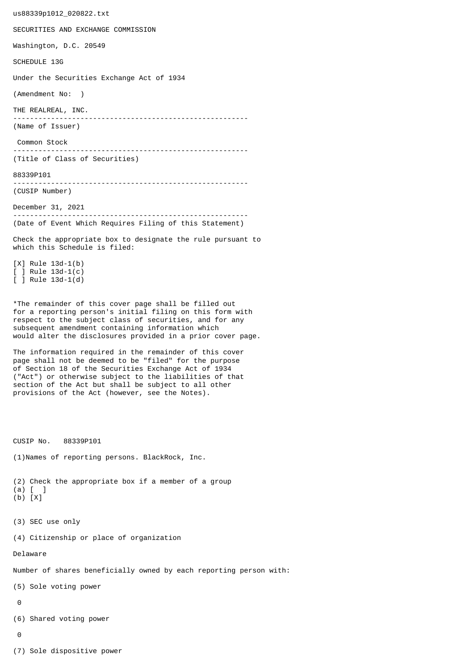us88339p1012\_020822.txt SECURITIES AND EXCHANGE COMMISSION Washington, D.C. 20549 SCHEDULE 13G Under the Securities Exchange Act of 1934 (Amendment No: ) THE REALREAL, INC. -------------------------------------------------------- (Name of Issuer) Common Stock -------------------------------------------------------- (Title of Class of Securities) 88339P101 -------------------------------------------------------- (CUSIP Number) December 31, 2021 -------------------------------------------------------- (Date of Event Which Requires Filing of this Statement) Check the appropriate box to designate the rule pursuant to which this Schedule is filed: [X] Rule 13d-1(b) [ ] Rule 13d-1(c) [ ] Rule 13d-1(d) \*The remainder of this cover page shall be filled out for a reporting person's initial filing on this form with respect to the subject class of securities, and for any subsequent amendment containing information which would alter the disclosures provided in a prior cover page. The information required in the remainder of this cover page shall not be deemed to be "filed" for the purpose of Section 18 of the Securities Exchange Act of 1934 ("Act") or otherwise subject to the liabilities of that section of the Act but shall be subject to all other provisions of the Act (however, see the Notes). CUSIP No. 88339P101 (1)Names of reporting persons. BlackRock, Inc. (2) Check the appropriate box if a member of a group (a) [ ] (b) [X] (3) SEC use only (4) Citizenship or place of organization Delaware Number of shares beneficially owned by each reporting person with: (5) Sole voting power  $\Omega$ (6) Shared voting power  $\Omega$ (7) Sole dispositive power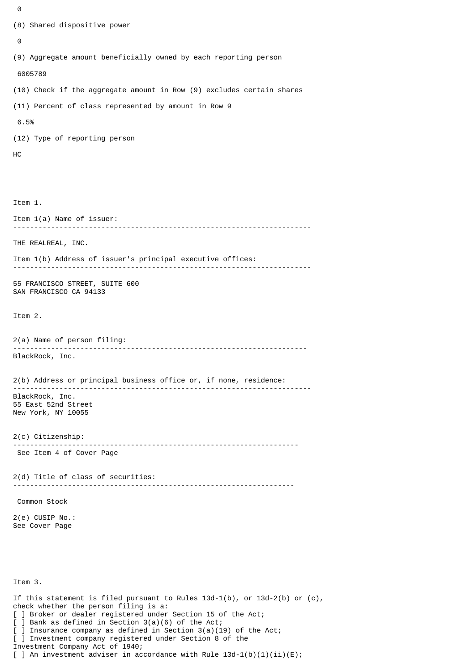```
\Theta(8) Shared dispositive power
 \boldsymbol{\Theta}(9) Aggregate amount beneficially owned by each reporting person
  6005789
(10) Check if the aggregate amount in Row (9) excludes certain shares
(11) Percent of class represented by amount in Row 9
 6.5%
(12) Type of reporting person
HC
Item 1.
Item 1(a) Name of issuer:
                 -----------------------------------------------------------------------
THE REALREAL, INC.
Item 1(b) Address of issuer's principal executive offices:
-----------------------------------------------------------------------
55 FRANCISCO STREET, SUITE 600
SAN FRANCISCO CA 94133
Item 2.
2(a) Name of person filing:
               ----------------------------------------------------------------------
BlackRock, Inc.
2(b) Address or principal business office or, if none, residence:
 -----------------------------------------------------------------------
BlackRock, Inc.
55 East 52nd Street
New York, NY 10055
2(c) Citizenship:
                             --------------------------------------------------------------------
 See Item 4 of Cover Page
2(d) Title of class of securities:
                                       -------------------------------------------------------------------
 Common Stock
2(e) CUSIP No.:
See Cover Page
Item 3.
If this statement is filed pursuant to Rules 13d-1(b), or 13d-2(b) or (c),
check whether the person filing is a:
[ ] Broker or dealer registered under Section 15 of the Act;
```
[ ] Bank as defined in Section 3(a)(6) of the Act;

] Insurance company as defined in Section  $3(a)(19)$  of the Act;

[ ] Investment company registered under Section 8 of the

Investment Company Act of 1940;

[ ] An investment adviser in accordance with Rule  $13d-1(b)(1)(ii)(E)$ ;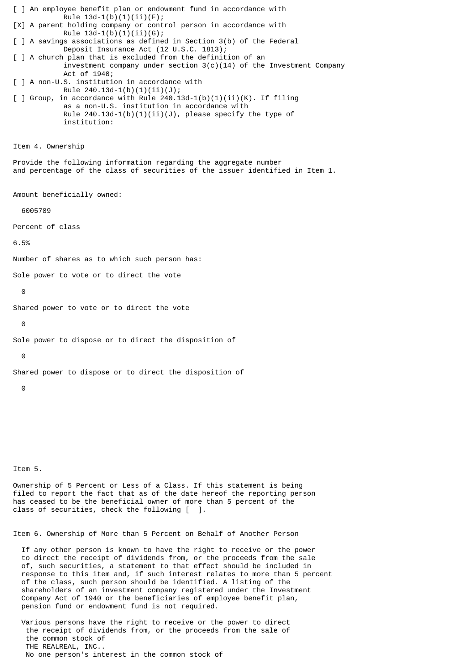[ ] An employee benefit plan or endowment fund in accordance with Rule  $13d-1(b)(1)(ii)(F);$ [X] A parent holding company or control person in accordance with Rule  $13d-1(b)(1)(ii)(G);$ [ ] A savings associations as defined in Section 3(b) of the Federal Deposit Insurance Act (12 U.S.C. 1813); [ ] A church plan that is excluded from the definition of an investment company under section  $3(c)(14)$  of the Investment Company Act of 1940; [ ] A non-U.S. institution in accordance with Rule  $240.13d-1(b)(1)(ii)(J);$  $\lceil$  ] Group, in accordance with Rule 240.13d-1(b)(1)(ii)(K). If filing as a non-U.S. institution in accordance with Rule  $240.13d-1(b)(1)(ii)(J)$ , please specify the type of institution: Item 4. Ownership Provide the following information regarding the aggregate number and percentage of the class of securities of the issuer identified in Item 1. Amount beneficially owned: 6005789 Percent of class 6.5% Number of shares as to which such person has: Sole power to vote or to direct the vote  $\Omega$ Shared power to vote or to direct the vote 0 Sole power to dispose or to direct the disposition of  $\theta$ Shared power to dispose or to direct the disposition of 0 Item 5. Ownership of 5 Percent or Less of a Class. If this statement is being filed to report the fact that as of the date hereof the reporting person has ceased to be the beneficial owner of more than 5 percent of the

Item 6. Ownership of More than 5 Percent on Behalf of Another Person

class of securities, check the following [ ].

 If any other person is known to have the right to receive or the power to direct the receipt of dividends from, or the proceeds from the sale of, such securities, a statement to that effect should be included in response to this item and, if such interest relates to more than 5 percent of the class, such person should be identified. A listing of the shareholders of an investment company registered under the Investment Company Act of 1940 or the beneficiaries of employee benefit plan, pension fund or endowment fund is not required.

 Various persons have the right to receive or the power to direct the receipt of dividends from, or the proceeds from the sale of the common stock of THE REALREAL, INC.. No one person's interest in the common stock of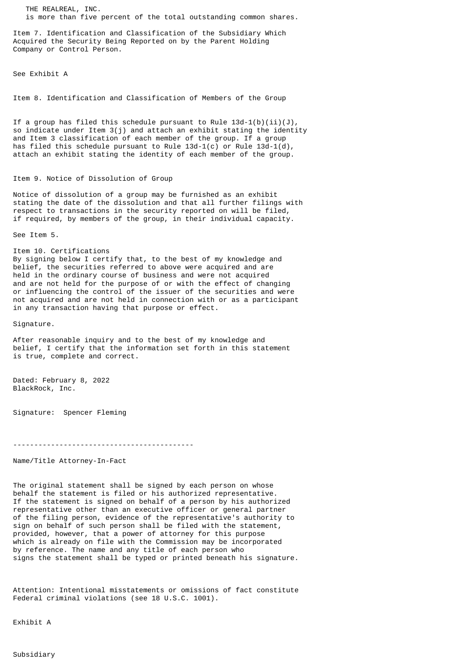THE REALREAL, INC. is more than five percent of the total outstanding common shares.

Item 7. Identification and Classification of the Subsidiary Which Acquired the Security Being Reported on by the Parent Holding Company or Control Person.

See Exhibit A

Item 8. Identification and Classification of Members of the Group

If a group has filed this schedule pursuant to Rule  $13d-1(b)(ii)(J)$ , so indicate under Item 3(j) and attach an exhibit stating the identity and Item 3 classification of each member of the group. If a group has filed this schedule pursuant to Rule  $13d-1(c)$  or Rule  $13d-1(d)$ , attach an exhibit stating the identity of each member of the group.

## Item 9. Notice of Dissolution of Group

Notice of dissolution of a group may be furnished as an exhibit stating the date of the dissolution and that all further filings with respect to transactions in the security reported on will be filed, if required, by members of the group, in their individual capacity.

See Item 5.

Item 10. Certifications By signing below I certify that, to the best of my knowledge and belief, the securities referred to above were acquired and are held in the ordinary course of business and were not acquired and are not held for the purpose of or with the effect of changing or influencing the control of the issuer of the securities and were not acquired and are not held in connection with or as a participant in any transaction having that purpose or effect.

Signature.

After reasonable inquiry and to the best of my knowledge and belief, I certify that the information set forth in this statement is true, complete and correct.

Dated: February 8, 2022 BlackRock, Inc.

Signature: Spencer Fleming

-------------------------------------------

Name/Title Attorney-In-Fact

The original statement shall be signed by each person on whose behalf the statement is filed or his authorized representative. If the statement is signed on behalf of a person by his authorized representative other than an executive officer or general partner of the filing person, evidence of the representative's authority to sign on behalf of such person shall be filed with the statement, provided, however, that a power of attorney for this purpose which is already on file with the Commission may be incorporated by reference. The name and any title of each person who signs the statement shall be typed or printed beneath his signature.

Attention: Intentional misstatements or omissions of fact constitute Federal criminal violations (see 18 U.S.C. 1001).

Exhibit A